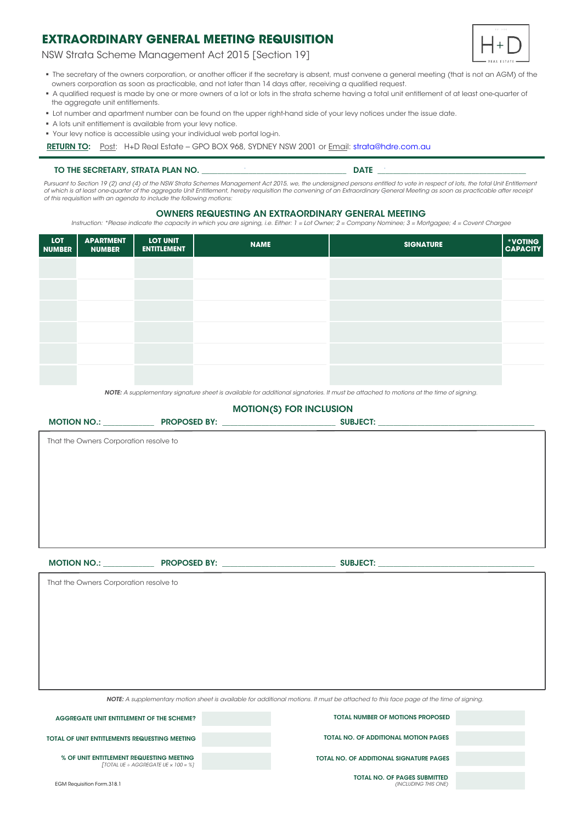NSW Strata Scheme Management Act 2015 [Section 19]



- The secretary of the owners corporation, or another officer if the secretary is absent, must convene a general meeting (that is not an AGM) of the owners corporation as soon as practicable, and not later than 14 days after, receiving a qualified request.
- A qualified request is made by one or more owners of a lot or lots in the strata scheme having a total unit entitlement of at least one-quarter of the aggregate unit entitlements.
- Lot number and apartment number can be found on the upper right-hand side of your levy notices under the issue date.
- A lots unit entitlement is available from your levy notice.
- Your levy notice is accessible using your individual web portal log-in.

RETURN TO: Post: H+D Real Estate - GPO BOX 968, SYDNEY NSW 2001 or Email: strata@hdre.com.au

#### TO THE SECRETARY, STRATA PLAN NO. THE SECRETARY, STRATA PLAN NO.

*Pursuant to Section 19 (2) and (4) of the NSW Strata Schemes Management Act 2015, we, the undersigned persons entitled to vote in respect of lots, the total Unit Entitlement*  of which is at least one-quarter of the aggregate Unit Entitlement, hereby requisition the convening ot an Extraordinary General Meeting as soon as practicable after receipi<br>of this requisition with an agenda to include th

### OWNERS REQUESTING AN EXTRAORDINARY GENERAL MEETING

*Instruction: \*Please indicate the capacity in which you are signing, i.e. Either: 1 = Lot Owner; 2 = Company Nominee; 3 = Mortgagee; 4 = Covent Chargee*

| LOT<br><b>NUMBER</b> | <b>APARTMENT</b><br><b>NUMBER</b> | <b>LOT UNIT</b><br><b>ENTITLEMENT</b> | <b>NAME</b> | <b>SIGNATURE</b> | *VOTING<br>CAPACITY |
|----------------------|-----------------------------------|---------------------------------------|-------------|------------------|---------------------|
|                      |                                   |                                       |             |                  |                     |
|                      |                                   |                                       |             |                  |                     |
|                      |                                   |                                       |             |                  |                     |
|                      |                                   |                                       |             |                  |                     |
|                      |                                   |                                       |             |                  |                     |
|                      |                                   |                                       |             |                  |                     |

*NOTE: A supplementary signature sheet is available for additional signatories. It must be attached to motions at the time of signing.*

# That the Owners Corporation resolve to MOTION(S) FOR INCLUSION MOTION NO.: \_\_\_\_\_\_\_\_\_\_\_\_\_ PROPOSED BY: \_\_\_\_\_\_\_\_\_\_\_\_\_\_\_\_\_\_\_\_\_\_\_\_\_\_\_\_\_ SUBJECT: \_\_\_\_\_\_\_\_\_\_\_\_\_\_\_\_\_\_\_\_\_\_\_\_\_\_\_\_\_\_\_\_\_\_\_\_\_\_\_\_ That the Owners Corporation resolve to MOTION NO.: \_\_\_\_\_\_\_\_\_\_\_\_\_ PROPOSED BY: \_\_\_\_\_\_\_\_\_\_\_\_\_\_\_\_\_\_\_\_\_\_\_\_\_\_\_\_\_ SUBJECT: \_\_\_\_\_\_\_\_\_\_\_\_\_\_\_\_\_\_\_\_\_\_\_\_\_\_\_\_\_\_\_\_\_\_\_\_\_\_\_\_

*NOTE: A supplementary motion sheet is available for additional motions. It must be attached to this face page at the time of signing.*

AGGREGATE UNIT ENTITLEMENT OF THE SCHEME? % OF UNIT ENTITLEMENT REQUESTING MEETING *[TOTAL UE ÷ AGGREGATE UE × 100 = %]* TOTAL NUMBER OF MOTIONS PROPOSED TOTAL OF UNIT ENTITLEMENTS REQUESTING MEETING TOTAL NO. OF PAGES SUBMITTED *(INCLUDING THIS ONE)* TOTAL NO. OF ADDITIONAL MOTION PAGES TOTAL NO. OF ADDITIONAL SIGNATURE PAGES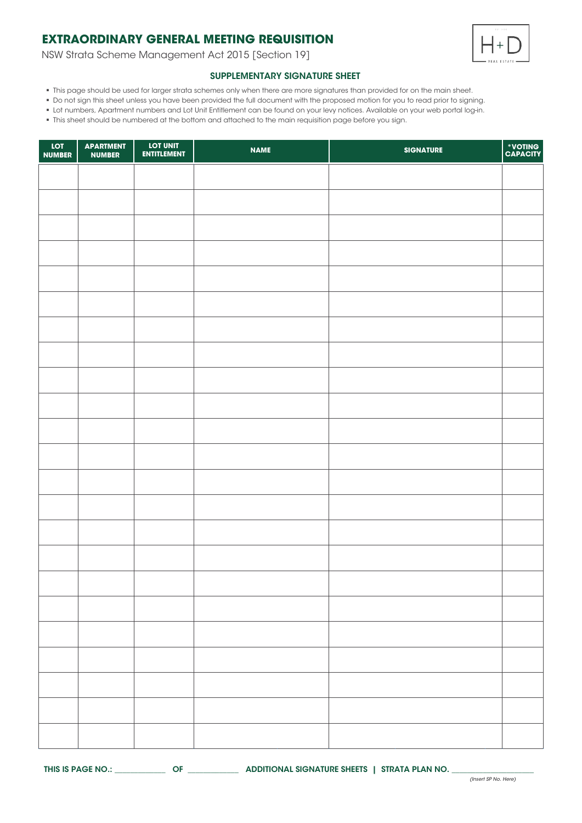NSW Strata Scheme Management Act 2015 [Section 19]



## SUPPLEMENTARY SIGNATURE SHEET

- This page should be used for larger strata schemes only when there are more signatures than provided for on the main sheet.
- Do not sign this sheet unless you have been provided the full document with the proposed motion for you to read prior to signing.
- Lot numbers, Apartment numbers and Lot Unit Entitlement can be found on your levy notices. Available on your web portal log-in.
- This sheet should be numbered at the bottom and attached to the main requisition page before you sign.

| LOT<br><b>NUMBER</b> | <b>APARTMENT</b><br><b>NUMBER</b> | LOT UNIT<br>ENTITLEMENT | <b>NAME</b> | <b>SIGNATURE</b> | *VOTING<br>CAPACITY |
|----------------------|-----------------------------------|-------------------------|-------------|------------------|---------------------|
|                      |                                   |                         |             |                  |                     |
|                      |                                   |                         |             |                  |                     |
|                      |                                   |                         |             |                  |                     |
|                      |                                   |                         |             |                  |                     |
|                      |                                   |                         |             |                  |                     |
|                      |                                   |                         |             |                  |                     |
|                      |                                   |                         |             |                  |                     |
|                      |                                   |                         |             |                  |                     |
|                      |                                   |                         |             |                  |                     |
|                      |                                   |                         |             |                  |                     |
|                      |                                   |                         |             |                  |                     |
|                      |                                   |                         |             |                  |                     |
|                      |                                   |                         |             |                  |                     |
|                      |                                   |                         |             |                  |                     |
|                      |                                   |                         |             |                  |                     |
|                      |                                   |                         |             |                  |                     |
|                      |                                   |                         |             |                  |                     |
|                      |                                   |                         |             |                  |                     |
|                      |                                   |                         |             |                  |                     |
|                      |                                   |                         |             |                  |                     |
|                      |                                   |                         |             |                  |                     |
|                      |                                   |                         |             |                  |                     |
|                      |                                   |                         |             |                  |                     |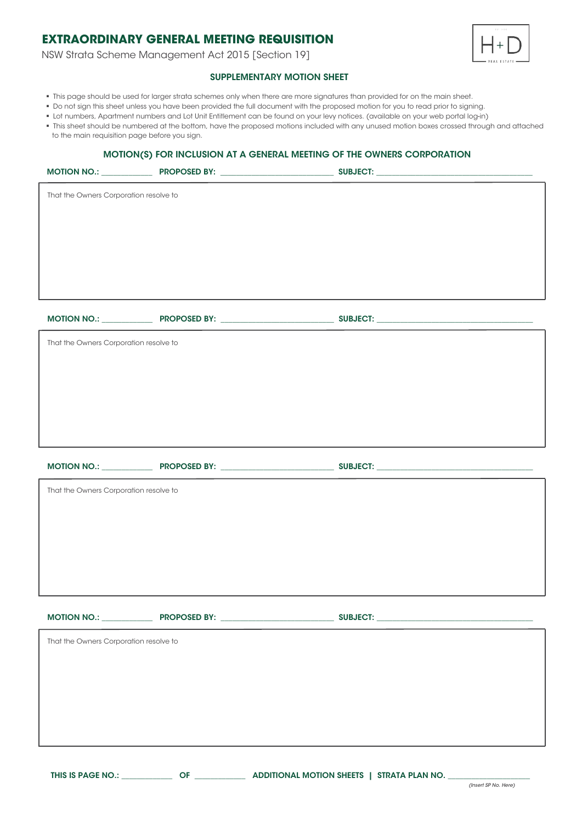NSW Strata Scheme Management Act 2015 [Section 19]



## SUPPLEMENTARY MOTION SHEET

- This page should be used for larger strata schemes only when there are more signatures than provided for on the main sheet.
- Do not sign this sheet unless you have been provided the full document with the proposed motion for you to read prior to signing.
- Lot numbers, Apartment numbers and Lot Unit Entitlement can be found on your levy notices. (available on your web portal log-in)
- . This sheet should be numbered at the bottom, have the proposed motions included with any unused motion boxes crossed through and attached to the main requisition page before you sign.

## MOTION(S) FOR INCLUSION AT A GENERAL MEETING OF THE OWNERS CORPORATION

| $\cdots$                               | . <i>. .</i> . |  |  |  |  |
|----------------------------------------|----------------|--|--|--|--|
| That the Owners Corporation resolve to |                |  |  |  |  |
|                                        |                |  |  |  |  |
|                                        |                |  |  |  |  |
|                                        |                |  |  |  |  |
|                                        |                |  |  |  |  |
|                                        |                |  |  |  |  |
|                                        |                |  |  |  |  |
| That the Owners Corporation resolve to |                |  |  |  |  |
|                                        |                |  |  |  |  |
|                                        |                |  |  |  |  |
|                                        |                |  |  |  |  |
|                                        |                |  |  |  |  |
|                                        |                |  |  |  |  |
| That the Owners Corporation resolve to |                |  |  |  |  |
|                                        |                |  |  |  |  |
|                                        |                |  |  |  |  |
|                                        |                |  |  |  |  |
|                                        |                |  |  |  |  |
|                                        |                |  |  |  |  |
|                                        |                |  |  |  |  |
| That the Owners Corporation resolve to |                |  |  |  |  |
|                                        |                |  |  |  |  |
|                                        |                |  |  |  |  |
|                                        |                |  |  |  |  |